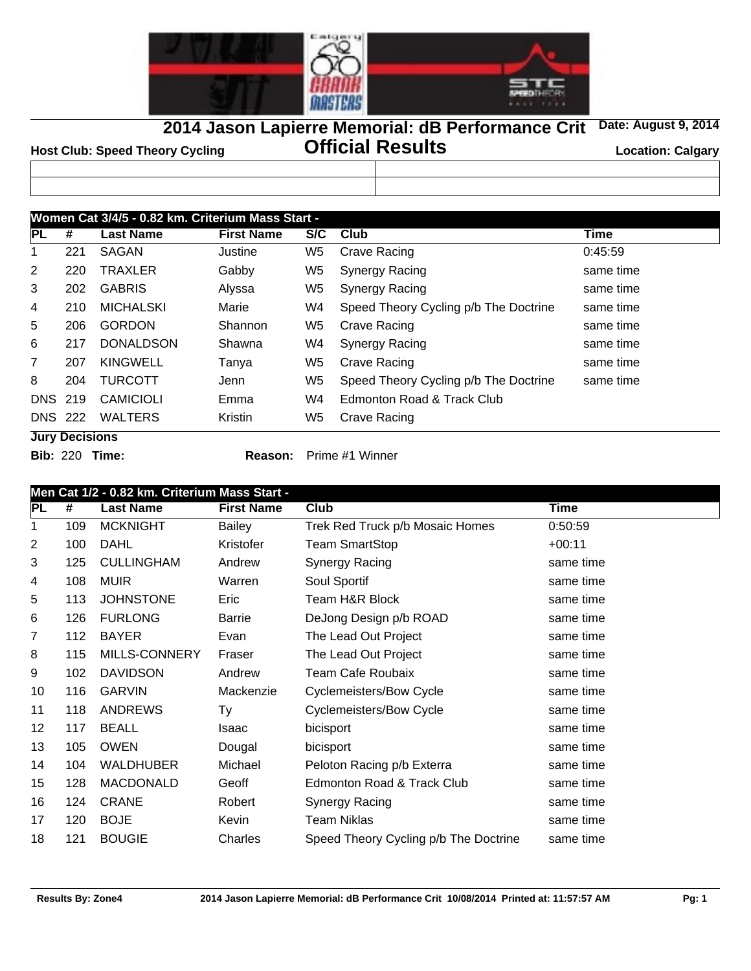

**2014 Jason Lapierre Memorial: dB Performance Crit Date: August 9, 2014**

**Official Results Host Club: Speed Theory Cycling Location: Calgary**

| .<br>. <i>.</i> .                                 | __ |
|---------------------------------------------------|----|
|                                                   |    |
|                                                   |    |
|                                                   |    |
|                                                   |    |
|                                                   |    |
|                                                   |    |
| Women Cat 3/4/5 - 0.82 km. Criterium Mass Start - |    |

| PL             | #   | <b>Last Name</b> | <b>First Name</b> | S/C | Club                                  | Time      |
|----------------|-----|------------------|-------------------|-----|---------------------------------------|-----------|
|                | 221 | SAGAN            | Justine           | W5  | <b>Crave Racing</b>                   | 0:45:59   |
| $\overline{2}$ | 220 | <b>TRAXLER</b>   | Gabby             | W5  | <b>Synergy Racing</b>                 | same time |
| 3              | 202 | <b>GABRIS</b>    | Alyssa            | W5  | <b>Synergy Racing</b>                 | same time |
| 4              | 210 | <b>MICHALSKI</b> | Marie             | W4  | Speed Theory Cycling p/b The Doctrine | same time |
| 5              | 206 | <b>GORDON</b>    | Shannon           | W5  | Crave Racing                          | same time |
| 6              | 217 | <b>DONALDSON</b> | Shawna            | W4  | <b>Synergy Racing</b>                 | same time |
| $\overline{7}$ | 207 | <b>KINGWELL</b>  | Tanya             | W5  | Crave Racing                          | same time |
| 8              | 204 | <b>TURCOTT</b>   | Jenn              | W5  | Speed Theory Cycling p/b The Doctrine | same time |
| <b>DNS 219</b> |     | <b>CAMICIOLI</b> | Emma              | W4  | Edmonton Road & Track Club            |           |
| <b>DNS 222</b> |     | <b>WALTERS</b>   | Kristin           | W5  | Crave Racing                          |           |

**Jury Decisions**

**Bib:** 220 **Time: Reason:** Prime #1 Winner

|    | Men Cat 1/2 - 0.82 km. Criterium Mass Start - |                   |                   |                                       |             |  |  |  |
|----|-----------------------------------------------|-------------------|-------------------|---------------------------------------|-------------|--|--|--|
| PL | #                                             | <b>Last Name</b>  | <b>First Name</b> | Club                                  | <b>Time</b> |  |  |  |
| 1  | 109                                           | <b>MCKNIGHT</b>   | Bailey            | Trek Red Truck p/b Mosaic Homes       | 0:50:59     |  |  |  |
| 2  | 100                                           | <b>DAHL</b>       | Kristofer         | <b>Team SmartStop</b>                 | $+00:11$    |  |  |  |
| 3  | 125                                           | <b>CULLINGHAM</b> | Andrew            | Synergy Racing                        | same time   |  |  |  |
| 4  | 108                                           | <b>MUIR</b>       | Warren            | Soul Sportif                          | same time   |  |  |  |
| 5  | 113                                           | <b>JOHNSTONE</b>  | Eric              | Team H&R Block                        | same time   |  |  |  |
| 6  | 126                                           | <b>FURLONG</b>    | Barrie            | DeJong Design p/b ROAD                | same time   |  |  |  |
| 7  | 112                                           | <b>BAYER</b>      | Evan              | The Lead Out Project                  | same time   |  |  |  |
| 8  | 115                                           | MILLS-CONNERY     | Fraser            | The Lead Out Project                  | same time   |  |  |  |
| 9  | 102                                           | <b>DAVIDSON</b>   | Andrew            | <b>Team Cafe Roubaix</b>              | same time   |  |  |  |
| 10 | 116                                           | <b>GARVIN</b>     | Mackenzie         | Cyclemeisters/Bow Cycle               | same time   |  |  |  |
| 11 | 118                                           | <b>ANDREWS</b>    | Ty                | <b>Cyclemeisters/Bow Cycle</b>        | same time   |  |  |  |
| 12 | 117                                           | <b>BEALL</b>      | Isaac             | bicisport                             | same time   |  |  |  |
| 13 | 105                                           | <b>OWEN</b>       | Dougal            | bicisport                             | same time   |  |  |  |
| 14 | 104                                           | <b>WALDHUBER</b>  | Michael           | Peloton Racing p/b Exterra            | same time   |  |  |  |
| 15 | 128                                           | <b>MACDONALD</b>  | Geoff             | Edmonton Road & Track Club            | same time   |  |  |  |
| 16 | 124                                           | <b>CRANE</b>      | Robert            | <b>Synergy Racing</b>                 | same time   |  |  |  |
| 17 | 120                                           | <b>BOJE</b>       | Kevin             | <b>Team Niklas</b>                    | same time   |  |  |  |
| 18 | 121                                           | <b>BOUGIE</b>     | Charles           | Speed Theory Cycling p/b The Doctrine | same time   |  |  |  |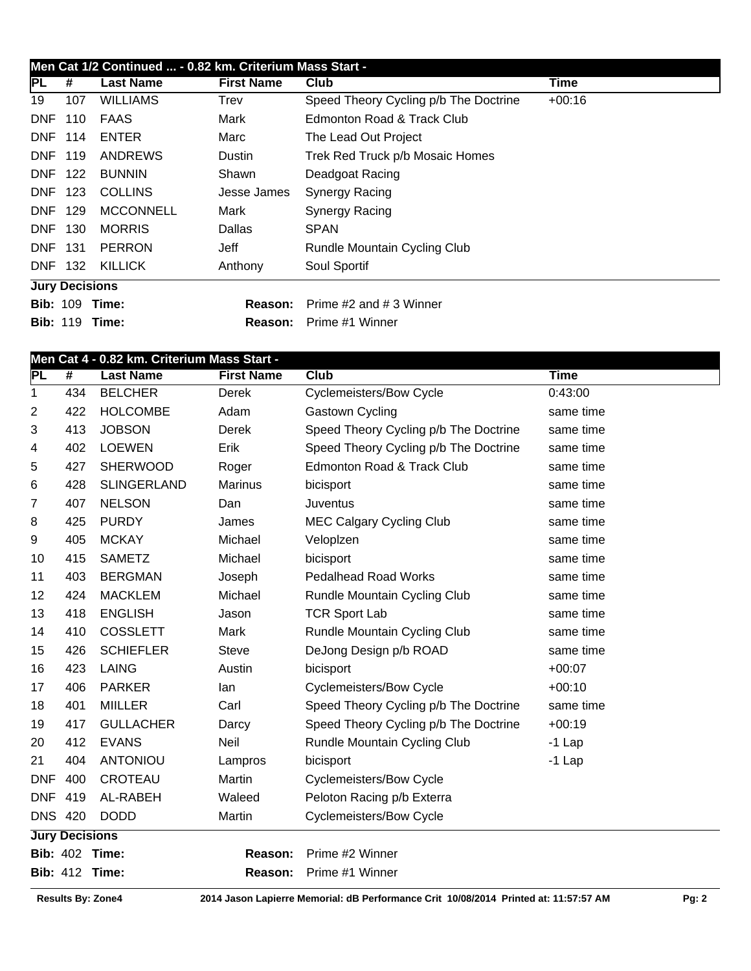|                | Men Cat 1/2 Continued  - 0.82 km. Criterium Mass Start - |                       |                   |                                       |             |  |  |  |  |
|----------------|----------------------------------------------------------|-----------------------|-------------------|---------------------------------------|-------------|--|--|--|--|
| PL             | #                                                        | <b>Last Name</b>      | <b>First Name</b> | Club                                  | <b>Time</b> |  |  |  |  |
| 19             | 107                                                      | <b>WILLIAMS</b>       | Trev              | Speed Theory Cycling p/b The Doctrine | $+00:16$    |  |  |  |  |
| <b>DNF</b>     | 110                                                      | <b>FAAS</b>           | Mark              | Edmonton Road & Track Club            |             |  |  |  |  |
| <b>DNF</b>     | 114                                                      | <b>ENTER</b>          | Marc              | The Lead Out Project                  |             |  |  |  |  |
|                | <b>DNF 119</b>                                           | <b>ANDREWS</b>        | Dustin            | Trek Red Truck p/b Mosaic Homes       |             |  |  |  |  |
| DNF            | 122                                                      | <b>BUNNIN</b>         | Shawn             | Deadgoat Racing                       |             |  |  |  |  |
| DNF            | - 123                                                    | <b>COLLINS</b>        | Jesse James       | <b>Synergy Racing</b>                 |             |  |  |  |  |
| <b>DNF</b>     | 129                                                      | <b>MCCONNELL</b>      | Mark              | <b>Synergy Racing</b>                 |             |  |  |  |  |
| <b>DNF</b>     | 130                                                      | <b>MORRIS</b>         | Dallas            | <b>SPAN</b>                           |             |  |  |  |  |
| <b>DNF 131</b> |                                                          | <b>PERRON</b>         | Jeff              | Rundle Mountain Cycling Club          |             |  |  |  |  |
|                | DNF 132                                                  | <b>KILLICK</b>        | Anthony           | Soul Sportif                          |             |  |  |  |  |
|                |                                                          | <b>Jury Decisions</b> |                   |                                       |             |  |  |  |  |
|                |                                                          | <b>Bib: 109 Time:</b> | Reason:           | Prime #2 and #3 Winner                |             |  |  |  |  |
|                |                                                          | <b>Bib: 119 Time:</b> | Reason:           | Prime #1 Winner                       |             |  |  |  |  |

|                | Men Cat 4 - 0.82 km. Criterium Mass Start - |                    |                   |                                       |             |  |  |
|----------------|---------------------------------------------|--------------------|-------------------|---------------------------------------|-------------|--|--|
| PL             | #                                           | <b>Last Name</b>   | <b>First Name</b> | <b>Club</b>                           | <b>Time</b> |  |  |
| 1              | 434                                         | <b>BELCHER</b>     | Derek             | <b>Cyclemeisters/Bow Cycle</b>        | 0:43:00     |  |  |
| 2              | 422                                         | <b>HOLCOMBE</b>    | Adam              | Gastown Cycling                       | same time   |  |  |
| 3              | 413                                         | <b>JOBSON</b>      | Derek             | Speed Theory Cycling p/b The Doctrine | same time   |  |  |
| 4              | 402                                         | <b>LOEWEN</b>      | Erik              | Speed Theory Cycling p/b The Doctrine | same time   |  |  |
| 5              | 427                                         | <b>SHERWOOD</b>    | Roger             | Edmonton Road & Track Club            | same time   |  |  |
| 6              | 428                                         | <b>SLINGERLAND</b> | <b>Marinus</b>    | bicisport                             | same time   |  |  |
| 7              | 407                                         | <b>NELSON</b>      | Dan               | Juventus                              | same time   |  |  |
| 8              | 425                                         | <b>PURDY</b>       | James             | <b>MEC Calgary Cycling Club</b>       | same time   |  |  |
| 9              | 405                                         | <b>MCKAY</b>       | Michael           | Veloplzen                             | same time   |  |  |
| 10             | 415                                         | <b>SAMETZ</b>      | Michael           | bicisport                             | same time   |  |  |
| 11             | 403                                         | <b>BERGMAN</b>     | Joseph            | <b>Pedalhead Road Works</b>           | same time   |  |  |
| 12             | 424                                         | <b>MACKLEM</b>     | Michael           | Rundle Mountain Cycling Club          | same time   |  |  |
| 13             | 418                                         | <b>ENGLISH</b>     | Jason             | <b>TCR Sport Lab</b>                  | same time   |  |  |
| 14             | 410                                         | COSSLETT           | Mark              | Rundle Mountain Cycling Club          | same time   |  |  |
| 15             | 426                                         | <b>SCHIEFLER</b>   | <b>Steve</b>      | DeJong Design p/b ROAD                | same time   |  |  |
| 16             | 423                                         | <b>LAING</b>       | Austin            | bicisport                             | $+00:07$    |  |  |
| 17             | 406                                         | <b>PARKER</b>      | lan               | <b>Cyclemeisters/Bow Cycle</b>        | $+00:10$    |  |  |
| 18             | 401                                         | <b>MIILLER</b>     | Carl              | Speed Theory Cycling p/b The Doctrine | same time   |  |  |
| 19             | 417                                         | <b>GULLACHER</b>   | Darcy             | Speed Theory Cycling p/b The Doctrine | $+00:19$    |  |  |
| 20             | 412                                         | <b>EVANS</b>       | Neil              | Rundle Mountain Cycling Club          | $-1$ Lap    |  |  |
| 21             | 404                                         | <b>ANTONIOU</b>    | Lampros           | bicisport                             | $-1$ Lap    |  |  |
| <b>DNF</b>     | 400                                         | <b>CROTEAU</b>     | Martin            | <b>Cyclemeisters/Bow Cycle</b>        |             |  |  |
| <b>DNF</b>     | 419                                         | AL-RABEH           | Waleed            | Peloton Racing p/b Exterra            |             |  |  |
| <b>DNS 420</b> |                                             | <b>DODD</b>        | Martin            | <b>Cyclemeisters/Bow Cycle</b>        |             |  |  |
|                | <b>Jury Decisions</b>                       |                    |                   |                                       |             |  |  |
|                | <b>Bib: 402 Time:</b>                       |                    | Reason:           | Prime #2 Winner                       |             |  |  |
|                | <b>Bib: 412 Time:</b>                       |                    | Reason:           | Prime #1 Winner                       |             |  |  |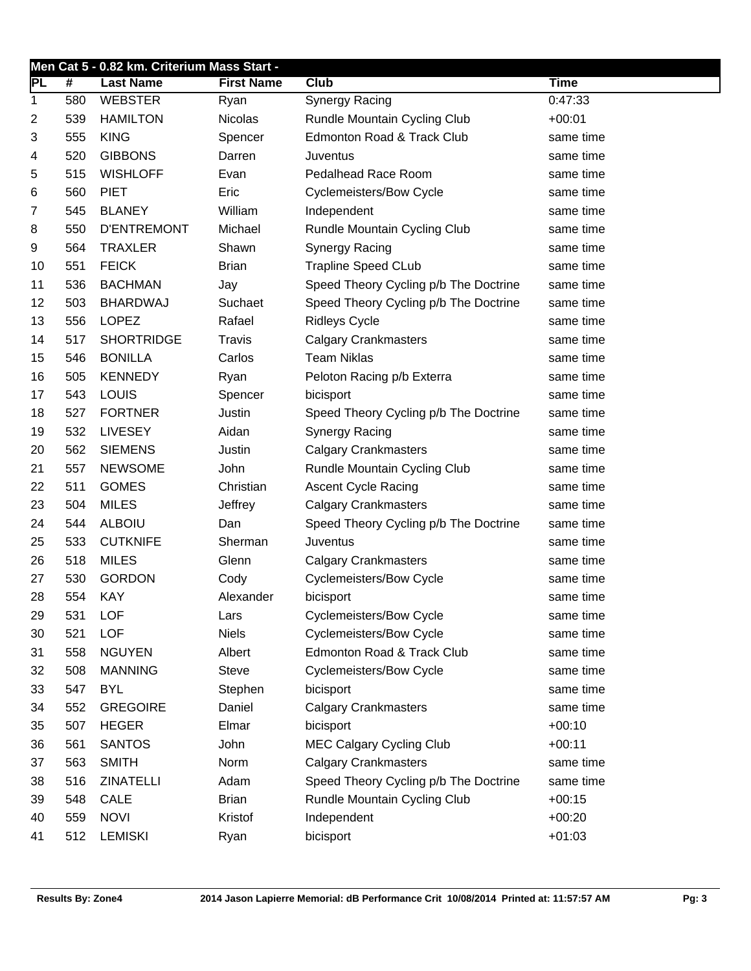|    | Men Cat 5 - 0.82 km. Criterium Mass Start - |                    |                   |                                       |             |  |  |  |
|----|---------------------------------------------|--------------------|-------------------|---------------------------------------|-------------|--|--|--|
| PГ | #                                           | <b>Last Name</b>   | <b>First Name</b> | Club                                  | <b>Time</b> |  |  |  |
| 1  | 580                                         | <b>WEBSTER</b>     | Ryan              | <b>Synergy Racing</b>                 | 0:47:33     |  |  |  |
| 2  | 539                                         | <b>HAMILTON</b>    | <b>Nicolas</b>    | Rundle Mountain Cycling Club          | $+00:01$    |  |  |  |
| 3  | 555                                         | <b>KING</b>        | Spencer           | Edmonton Road & Track Club            | same time   |  |  |  |
| 4  | 520                                         | <b>GIBBONS</b>     | Darren            | Juventus                              | same time   |  |  |  |
| 5  | 515                                         | <b>WISHLOFF</b>    | Evan              | Pedalhead Race Room                   | same time   |  |  |  |
| 6  | 560                                         | <b>PIET</b>        | Eric              | <b>Cyclemeisters/Bow Cycle</b>        | same time   |  |  |  |
| 7  | 545                                         | <b>BLANEY</b>      | William           | Independent                           | same time   |  |  |  |
| 8  | 550                                         | <b>D'ENTREMONT</b> | Michael           | Rundle Mountain Cycling Club          | same time   |  |  |  |
| 9  | 564                                         | <b>TRAXLER</b>     | Shawn             | <b>Synergy Racing</b>                 | same time   |  |  |  |
| 10 | 551                                         | <b>FEICK</b>       | <b>Brian</b>      | <b>Trapline Speed CLub</b>            | same time   |  |  |  |
| 11 | 536                                         | <b>BACHMAN</b>     | Jay               | Speed Theory Cycling p/b The Doctrine | same time   |  |  |  |
| 12 | 503                                         | <b>BHARDWAJ</b>    | Suchaet           | Speed Theory Cycling p/b The Doctrine | same time   |  |  |  |
| 13 | 556                                         | <b>LOPEZ</b>       | Rafael            | <b>Ridleys Cycle</b>                  | same time   |  |  |  |
| 14 | 517                                         | <b>SHORTRIDGE</b>  | <b>Travis</b>     | <b>Calgary Crankmasters</b>           | same time   |  |  |  |
| 15 | 546                                         | <b>BONILLA</b>     | Carlos            | <b>Team Niklas</b>                    | same time   |  |  |  |
| 16 | 505                                         | <b>KENNEDY</b>     | Ryan              | Peloton Racing p/b Exterra            | same time   |  |  |  |
| 17 | 543                                         | LOUIS              | Spencer           | bicisport                             | same time   |  |  |  |
| 18 | 527                                         | <b>FORTNER</b>     | Justin            | Speed Theory Cycling p/b The Doctrine | same time   |  |  |  |
| 19 | 532                                         | <b>LIVESEY</b>     | Aidan             | Synergy Racing                        | same time   |  |  |  |
| 20 | 562                                         | <b>SIEMENS</b>     | Justin            | <b>Calgary Crankmasters</b>           | same time   |  |  |  |
| 21 | 557                                         | <b>NEWSOME</b>     | John              | Rundle Mountain Cycling Club          | same time   |  |  |  |
| 22 | 511                                         | <b>GOMES</b>       | Christian         | <b>Ascent Cycle Racing</b>            | same time   |  |  |  |
| 23 | 504                                         | <b>MILES</b>       | Jeffrey           | <b>Calgary Crankmasters</b>           | same time   |  |  |  |
| 24 | 544                                         | <b>ALBOIU</b>      | Dan               | Speed Theory Cycling p/b The Doctrine | same time   |  |  |  |
| 25 | 533                                         | <b>CUTKNIFE</b>    | Sherman           | Juventus                              | same time   |  |  |  |
| 26 | 518                                         | <b>MILES</b>       | Glenn             | <b>Calgary Crankmasters</b>           | same time   |  |  |  |
| 27 | 530                                         | <b>GORDON</b>      | Cody              | <b>Cyclemeisters/Bow Cycle</b>        | same time   |  |  |  |
| 28 | 554                                         | <b>KAY</b>         | Alexander         | bicisport                             | same time   |  |  |  |
| 29 | 531                                         | <b>LOF</b>         | Lars              | <b>Cyclemeisters/Bow Cycle</b>        | same time   |  |  |  |
| 30 | 521                                         | <b>LOF</b>         | <b>Niels</b>      | <b>Cyclemeisters/Bow Cycle</b>        | same time   |  |  |  |
| 31 | 558                                         | <b>NGUYEN</b>      | Albert            | Edmonton Road & Track Club            | same time   |  |  |  |
| 32 | 508                                         | <b>MANNING</b>     | <b>Steve</b>      | <b>Cyclemeisters/Bow Cycle</b>        | same time   |  |  |  |
| 33 | 547                                         | <b>BYL</b>         | Stephen           | bicisport                             | same time   |  |  |  |
| 34 | 552                                         | <b>GREGOIRE</b>    | Daniel            | <b>Calgary Crankmasters</b>           | same time   |  |  |  |
| 35 | 507                                         | <b>HEGER</b>       | Elmar             | bicisport                             | $+00:10$    |  |  |  |
| 36 | 561                                         | <b>SANTOS</b>      | John              | <b>MEC Calgary Cycling Club</b>       | $+00:11$    |  |  |  |
| 37 | 563                                         | <b>SMITH</b>       | Norm              | <b>Calgary Crankmasters</b>           | same time   |  |  |  |
| 38 | 516                                         | <b>ZINATELLI</b>   | Adam              | Speed Theory Cycling p/b The Doctrine | same time   |  |  |  |
| 39 | 548                                         | <b>CALE</b>        | <b>Brian</b>      | Rundle Mountain Cycling Club          | $+00:15$    |  |  |  |
| 40 | 559                                         | <b>NOVI</b>        | Kristof           | Independent                           | $+00:20$    |  |  |  |
| 41 | 512                                         | <b>LEMISKI</b>     | Ryan              | bicisport                             | $+01:03$    |  |  |  |
|    |                                             |                    |                   |                                       |             |  |  |  |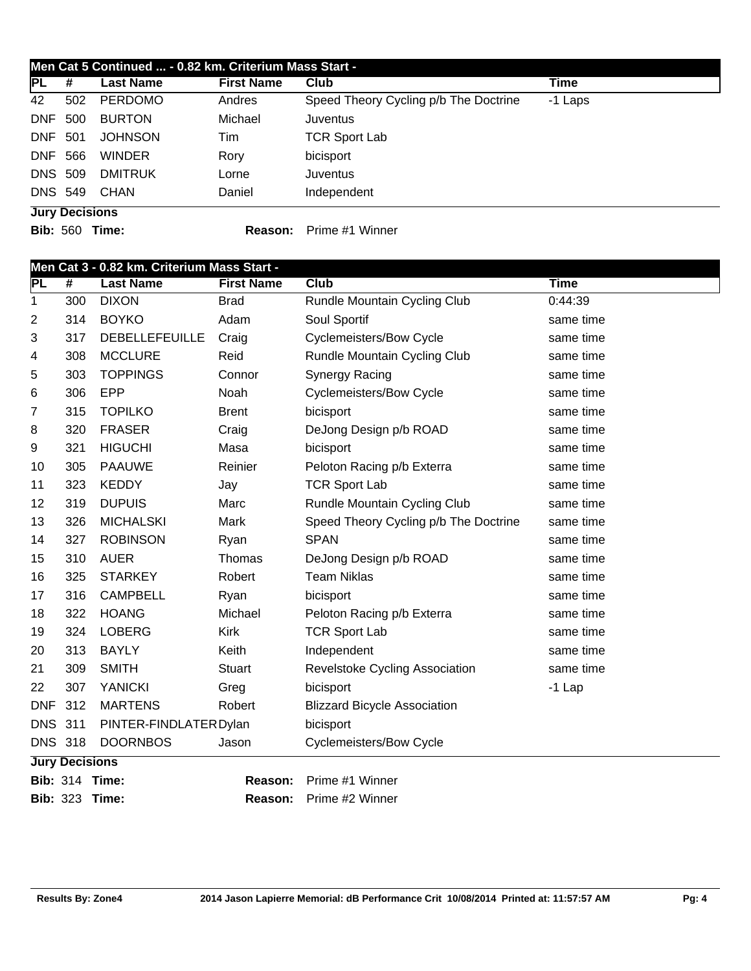| PL                    | #   | <b>Last Name</b> | <b>First Name</b> | Club                                  | Time    |
|-----------------------|-----|------------------|-------------------|---------------------------------------|---------|
| 42                    | 502 | <b>PERDOMO</b>   | Andres            | Speed Theory Cycling p/b The Doctrine | -1 Laps |
| <b>DNF 500</b>        |     | <b>BURTON</b>    | Michael           | Juventus                              |         |
| <b>DNF 501</b>        |     | <b>JOHNSON</b>   | Tim               | <b>TCR Sport Lab</b>                  |         |
| DNF 566               |     | <b>WINDER</b>    | Rory              | bicisport                             |         |
| <b>DNS 509</b>        |     | <b>DMITRUK</b>   | Lorne             | <b>Juventus</b>                       |         |
| <b>DNS 549</b>        |     | CHAN             | Daniel            | Independent                           |         |
| <b>Jury Decisions</b> |     |                  |                   |                                       |         |

**Bib:** 560 **Time: Reason:** Prime #1 Winner

|                | Men Cat 3 - 0.82 km. Criterium Mass Start - |                        |                   |                                       |             |  |  |  |
|----------------|---------------------------------------------|------------------------|-------------------|---------------------------------------|-------------|--|--|--|
| PL             | $\overline{\#}$                             | <b>Last Name</b>       | <b>First Name</b> | <b>Club</b>                           | <b>Time</b> |  |  |  |
| 1              | 300                                         | <b>DIXON</b>           | <b>Brad</b>       | Rundle Mountain Cycling Club          | 0:44:39     |  |  |  |
| 2              | 314                                         | <b>BOYKO</b>           | Adam              | Soul Sportif                          | same time   |  |  |  |
| 3              | 317                                         | <b>DEBELLEFEUILLE</b>  | Craig             | <b>Cyclemeisters/Bow Cycle</b>        | same time   |  |  |  |
| 4              | 308                                         | <b>MCCLURE</b>         | Reid              | Rundle Mountain Cycling Club          | same time   |  |  |  |
| 5              | 303                                         | <b>TOPPINGS</b>        | Connor            | Synergy Racing                        | same time   |  |  |  |
| 6              | 306                                         | EPP                    | Noah              | <b>Cyclemeisters/Bow Cycle</b>        | same time   |  |  |  |
| 7              | 315                                         | <b>TOPILKO</b>         | <b>Brent</b>      | bicisport                             | same time   |  |  |  |
| 8              | 320                                         | <b>FRASER</b>          | Craig             | DeJong Design p/b ROAD                | same time   |  |  |  |
| 9              | 321                                         | <b>HIGUCHI</b>         | Masa              | bicisport                             | same time   |  |  |  |
| 10             | 305                                         | <b>PAAUWE</b>          | Reinier           | Peloton Racing p/b Exterra            | same time   |  |  |  |
| 11             | 323                                         | <b>KEDDY</b>           | Jay               | <b>TCR Sport Lab</b>                  | same time   |  |  |  |
| 12             | 319                                         | <b>DUPUIS</b>          | Marc              | Rundle Mountain Cycling Club          | same time   |  |  |  |
| 13             | 326                                         | <b>MICHALSKI</b>       | Mark              | Speed Theory Cycling p/b The Doctrine | same time   |  |  |  |
| 14             | 327                                         | <b>ROBINSON</b>        | Ryan              | <b>SPAN</b>                           | same time   |  |  |  |
| 15             | 310                                         | <b>AUER</b>            | Thomas            | DeJong Design p/b ROAD                | same time   |  |  |  |
| 16             | 325                                         | <b>STARKEY</b>         | Robert            | <b>Team Niklas</b>                    | same time   |  |  |  |
| 17             | 316                                         | <b>CAMPBELL</b>        | Ryan              | bicisport                             | same time   |  |  |  |
| 18             | 322                                         | <b>HOANG</b>           | Michael           | Peloton Racing p/b Exterra            | same time   |  |  |  |
| 19             | 324                                         | <b>LOBERG</b>          | <b>Kirk</b>       | <b>TCR Sport Lab</b>                  | same time   |  |  |  |
| 20             | 313                                         | <b>BAYLY</b>           | Keith             | Independent                           | same time   |  |  |  |
| 21             | 309                                         | <b>SMITH</b>           | <b>Stuart</b>     | Revelstoke Cycling Association        | same time   |  |  |  |
| 22             | 307                                         | <b>YANICKI</b>         | Greg              | bicisport                             | $-1$ Lap    |  |  |  |
| <b>DNF</b>     | 312                                         | <b>MARTENS</b>         | Robert            | <b>Blizzard Bicycle Association</b>   |             |  |  |  |
| <b>DNS 311</b> |                                             | PINTER-FINDLATER Dylan |                   | bicisport                             |             |  |  |  |
| <b>DNS 318</b> |                                             | <b>DOORNBOS</b>        | Jason             | <b>Cyclemeisters/Bow Cycle</b>        |             |  |  |  |
|                | <b>Jury Decisions</b>                       |                        |                   |                                       |             |  |  |  |
|                |                                             | <b>Bib: 314 Time:</b>  | Reason:           | Prime #1 Winner                       |             |  |  |  |
|                |                                             | <b>Bib: 323 Time:</b>  | Reason:           | Prime #2 Winner                       |             |  |  |  |